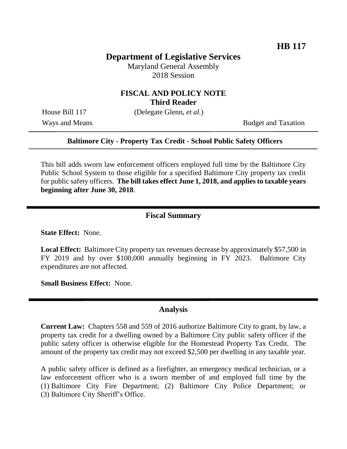## **Department of Legislative Services**

Maryland General Assembly 2018 Session

## **FISCAL AND POLICY NOTE Third Reader**

House Bill 117 (Delegate Glenn, *et al.*)

Ways and Means Budget and Taxation

#### **Baltimore City - Property Tax Credit - School Public Safety Officers**

This bill adds sworn law enforcement officers employed full time by the Baltimore City Public School System to those eligible for a specified Baltimore City property tax credit for public safety officers. **The bill takes effect June 1, 2018, and applies to taxable years beginning after June 30, 2018**.

#### **Fiscal Summary**

**State Effect:** None.

**Local Effect:** Baltimore City property tax revenues decrease by approximately \$57,500 in FY 2019 and by over \$100,000 annually beginning in FY 2023. Baltimore City expenditures are not affected.

**Small Business Effect:** None.

### **Analysis**

**Current Law:** Chapters 558 and 559 of 2016 authorize Baltimore City to grant, by law, a property tax credit for a dwelling owned by a Baltimore City public safety officer if the public safety officer is otherwise eligible for the Homestead Property Tax Credit. The amount of the property tax credit may not exceed \$2,500 per dwelling in any taxable year.

A public safety officer is defined as a firefighter, an emergency medical technician, or a law enforcement officer who is a sworn member of and employed full time by the (1) Baltimore City Fire Department; (2) Baltimore City Police Department; or (3) Baltimore City Sheriff's Office.